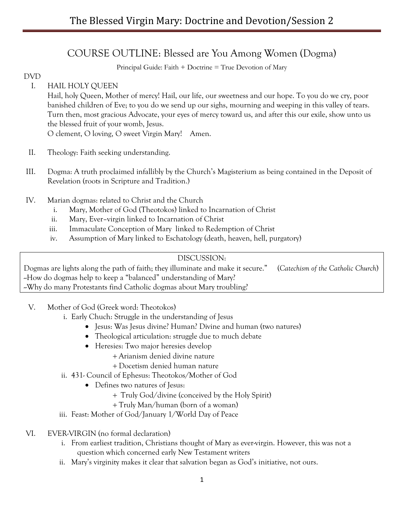# COURSE OUTLINE: Blessed are You Among Women (Dogma)

Principal Guide: Faith + Doctrine = True Devotion of Mary

## DVD

I. HAIL HOLY QUEEN

Hail, holy Queen, Mother of mercy! Hail, our life, our sweetness and our hope. To you do we cry, poor banished children of Eve; to you do we send up our sighs, mourning and weeping in this valley of tears. Turn then, most gracious Advocate, your eyes of mercy toward us, and after this our exile, show unto us the blessed fruit of your womb, Jesus.

O clement, O loving, O sweet Virgin Mary! Amen.

- II. Theology: Faith seeking understanding.
- III. Dogma: A truth proclaimed infallibly by the Church's Magisterium as being contained in the Deposit of Revelation (roots in Scripture and Tradition.)
- IV. Marian dogmas: related to Christ and the Church
	- i. Mary, Mother of God (Theotokos) linked to Incarnation of Christ
	- ii. Mary, Ever–virgin linked to Incarnation of Christ
	- iii. Immaculate Conception of Mary linked to Redemption of Christ
	- iv. Assumption of Mary linked to Eschatology (death, heaven, hell, purgatory)

## DISCUSSION:

Dogmas are lights along the path of faith; they illuminate and make it secure." (*Catechism of the Catholic Church*) -How do dogmas help to keep a "balanced" understanding of Mary? -Why do many Protestants find Catholic dogmas about Mary troubling?

- V. Mother of God (Greek word: Theotokos)
	- i. Early Chuch: Struggle in the understanding of Jesus
		- Jesus: Was Jesus divine? Human? Divine and human (two natures)
		- Theological articulation: struggle due to much debate
		- Heresies: Two major heresies develop
			- + Arianism denied divine nature
			- + Docetism denied human nature
	- ii. 431- Council of Ephesus: Theotokos/Mother of God
		- Defines two natures of Jesus:
			- + Truly God/divine (conceived by the Holy Spirit)
			- + Truly Man/human (born of a woman)
	- iii. Feast: Mother of God/January 1/World Day of Peace
- VI. EVER-VIRGIN (no formal declaration)
	- i. From earliest tradition, Christians thought of Mary as ever-virgin. However, this was not a question which concerned early New Testament writers
	- ii. Mary's virginity makes it clear that salvation began as God's initiative, not ours.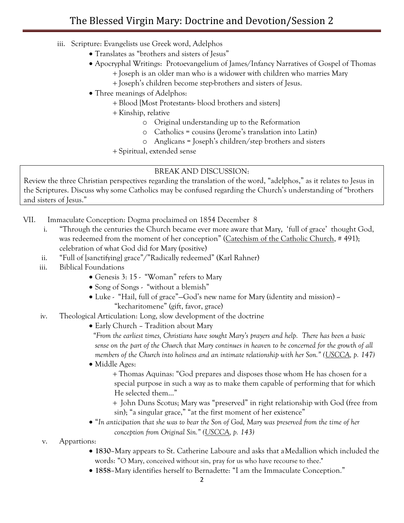- iii. Scripture: Evangelists use Greek word, Adelphos
	- Translates as "brothers and sisters of Jesus"
	- Apocryphal Writings: Protoevangelium of James/Infancy Narratives of Gospel of Thomas
		- + Joseph is an older man who is a widower with children who marries Mary
		- + Joseph's children become step-brothers and sisters of Jesus.
	- Three meanings of Adelphos:
		- + Blood [Most Protestants- blood brothers and sisters]
		- + Kinship, relative
			- o Original understanding up to the Reformation
			- o Catholics = cousins (Jerome's translation into Latin)
			- o Anglicans = Joseph's children/step brothers and sisters
		- + Spiritual, extended sense

#### BREAK AND DISCUSSION:

Review the three Christian perspectives regarding the translation of the word, "adelphos," as it relates to Jesus in the Scriptures. Discuss why some Catholics may be confused regarding the Church's understanding of "brothers and sisters of Jesus."

- VII. Immaculate Conception: Dogma proclaimed on 1854 December 8
	- i. "Through the centuries the Church became ever more aware that Mary, 'full of grace' thought God, was redeemed from the moment of her conception" (Catechism of the Catholic Church, #491); celebration of what God did for Mary (positive)
	- ii. "Full of [sanctifying] grace"/"Radically redeemed" (Karl Rahner)
	- iii. Biblical Foundations
		- Genesis 3: 15 "Woman" refers to Mary
		- Song of Songs "without a blemish"
		- Luke "Hail, full of grace"—God's new name for Mary (identity and mission) -"kecharitomene" (gift, favor, grace)
	- iv. Theological Articulation: Long, slow development of the doctrine
		- Early Church Tradition about Mary

*"From the earliest times, Christians have sought Mary's prayers and help. There has been a basic sense on the part of the Church that Mary continues in heaven to be concerned for the growth of all members of the Church into holiness and an intimate relationship with her Son." (USCCA, p. 147)*

• Middle Ages:

+ Thomas Aquinas: "God prepares and disposes those whom He has chosen for a special purpose in such a way as to make them capable of performing that for which He selected them…"

+ John Duns Scotus; Mary was "preserved" in right relationship with God (free from sin); "a singular grace," "at the first moment of her existence"

- "*In anticipation that she was to bear the Son of God, Mary was preserved from the time of her conception from Original Sin." (USCCA, p. 143)*
- v. Appartions:
	- **1830**–Mary appears to St. Catherine Laboure and asks that aMedallion which included the words: "O Mary, conceived without sin, pray for us who have recourse to thee."
	- **1858**–Mary identifies herself to Bernadette: "I am the Immaculate Conception."